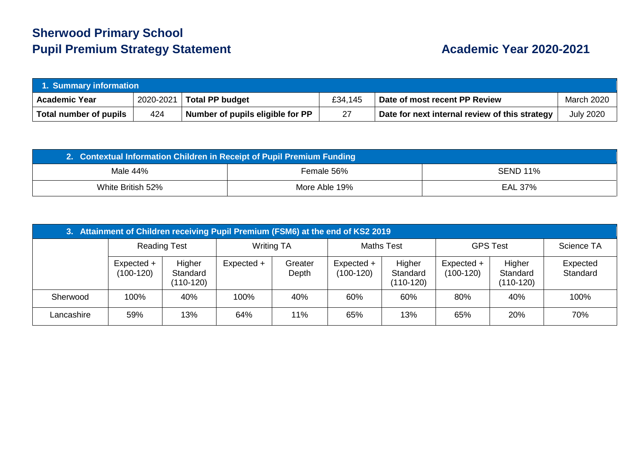## **Sherwood Primary School Pupil Premium Strategy Statement Academic Year 2020-2021**

| 1. Summary information |           |                                  |         |                                                |                  |  |
|------------------------|-----------|----------------------------------|---------|------------------------------------------------|------------------|--|
| <b>Academic Year</b>   | 2020-2021 | <b>Total PP budget</b>           | £34,145 | Date of most recent PP Review                  | March 2020       |  |
| Total number of pupils | 424       | Number of pupils eligible for PP | 27      | Date for next internal review of this strategy | <b>July 2020</b> |  |

| 2. Contextual Information Children in Receipt of Pupil Premium Funding |               |                 |  |  |  |
|------------------------------------------------------------------------|---------------|-----------------|--|--|--|
| Male 44%                                                               | Female 56%    | <b>SEND 11%</b> |  |  |  |
| White British 52%                                                      | More Able 19% | EAL 37%         |  |  |  |

| 3. Attainment of Children receiving Pupil Premium (FSM6) at the end of KS2 2019 |                           |                                 |            |                                        |                           |                                 |                           |                                 |                      |
|---------------------------------------------------------------------------------|---------------------------|---------------------------------|------------|----------------------------------------|---------------------------|---------------------------------|---------------------------|---------------------------------|----------------------|
|                                                                                 | <b>Reading Test</b>       |                                 |            | <b>Maths Test</b><br><b>Writing TA</b> |                           | <b>GPS Test</b>                 |                           | Science TA                      |                      |
|                                                                                 | Expected +<br>$(100-120)$ | Higher<br>Standard<br>(110-120) | Expected + | Greater<br>Depth                       | Expected +<br>$(100-120)$ | Higher<br>Standard<br>(110-120) | Expected +<br>$(100-120)$ | Higher<br>Standard<br>(110-120) | Expected<br>Standard |
| Sherwood                                                                        | 100%                      | 40%                             | 100%       | 40%                                    | 60%                       | 60%                             | 80%                       | 40%                             | 100%                 |
| Lancashire                                                                      | 59%                       | 13%                             | 64%        | 11%                                    | 65%                       | 13%                             | 65%                       | 20%                             | 70%                  |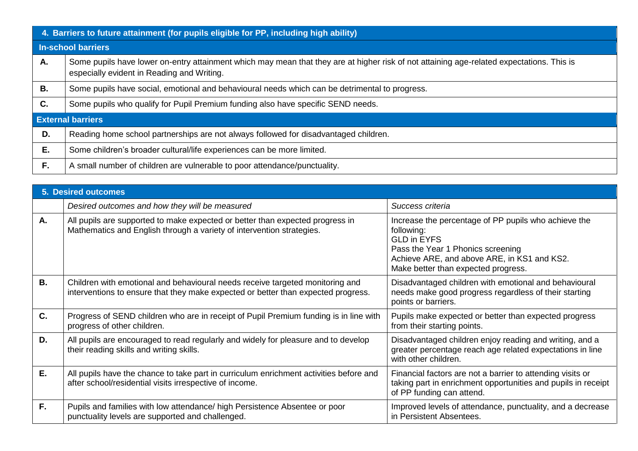|    | 4. Barriers to future attainment (for pupils eligible for PP, including high ability)                                                                                                   |  |  |  |  |  |
|----|-----------------------------------------------------------------------------------------------------------------------------------------------------------------------------------------|--|--|--|--|--|
|    | <b>In-school barriers</b>                                                                                                                                                               |  |  |  |  |  |
| А. | Some pupils have lower on-entry attainment which may mean that they are at higher risk of not attaining age-related expectations. This is<br>especially evident in Reading and Writing. |  |  |  |  |  |
| В. | Some pupils have social, emotional and behavioural needs which can be detrimental to progress.                                                                                          |  |  |  |  |  |
| C. | Some pupils who qualify for Pupil Premium funding also have specific SEND needs.                                                                                                        |  |  |  |  |  |
|    | <b>External barriers</b>                                                                                                                                                                |  |  |  |  |  |
| D. | Reading home school partnerships are not always followed for disadvantaged children.                                                                                                    |  |  |  |  |  |
| Е. | Some children's broader cultural/life experiences can be more limited.                                                                                                                  |  |  |  |  |  |
| F. | A small number of children are vulnerable to poor attendance/punctuality.                                                                                                               |  |  |  |  |  |

|           | <b>5. Desired outcomes</b>                                                                                                                                         |                                                                                                                                                                                                                     |  |  |  |  |  |
|-----------|--------------------------------------------------------------------------------------------------------------------------------------------------------------------|---------------------------------------------------------------------------------------------------------------------------------------------------------------------------------------------------------------------|--|--|--|--|--|
|           | Desired outcomes and how they will be measured                                                                                                                     | Success criteria                                                                                                                                                                                                    |  |  |  |  |  |
| А.        | All pupils are supported to make expected or better than expected progress in<br>Mathematics and English through a variety of intervention strategies.             | Increase the percentage of PP pupils who achieve the<br>following:<br><b>GLD in EYFS</b><br>Pass the Year 1 Phonics screening<br>Achieve ARE, and above ARE, in KS1 and KS2.<br>Make better than expected progress. |  |  |  |  |  |
| <b>B.</b> | Children with emotional and behavioural needs receive targeted monitoring and<br>interventions to ensure that they make expected or better than expected progress. | Disadvantaged children with emotional and behavioural<br>needs make good progress regardless of their starting<br>points or barriers.                                                                               |  |  |  |  |  |
| C.        | Progress of SEND children who are in receipt of Pupil Premium funding is in line with<br>progress of other children.                                               | Pupils make expected or better than expected progress<br>from their starting points.                                                                                                                                |  |  |  |  |  |
| D.        | All pupils are encouraged to read regularly and widely for pleasure and to develop<br>their reading skills and writing skills.                                     | Disadvantaged children enjoy reading and writing, and a<br>greater percentage reach age related expectations in line<br>with other children.                                                                        |  |  |  |  |  |
| Ε.        | All pupils have the chance to take part in curriculum enrichment activities before and<br>after school/residential visits irrespective of income.                  | Financial factors are not a barrier to attending visits or<br>taking part in enrichment opportunities and pupils in receipt<br>of PP funding can attend.                                                            |  |  |  |  |  |
| F.        | Pupils and families with low attendance/ high Persistence Absentee or poor<br>punctuality levels are supported and challenged.                                     | Improved levels of attendance, punctuality, and a decrease<br>in Persistent Absentees.                                                                                                                              |  |  |  |  |  |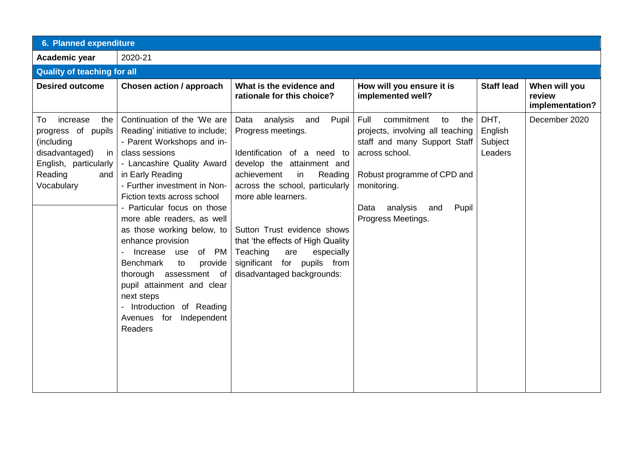| 6. Planned expenditure                                                                                                                     |                                                                                                                                                                                                                                                                                                                                                                                                                                                                                                                                                           |                                                                                                                                                                                                                                                                                                                                                                              |                                                                                                                                                                                                                               |                                       |                                            |  |  |
|--------------------------------------------------------------------------------------------------------------------------------------------|-----------------------------------------------------------------------------------------------------------------------------------------------------------------------------------------------------------------------------------------------------------------------------------------------------------------------------------------------------------------------------------------------------------------------------------------------------------------------------------------------------------------------------------------------------------|------------------------------------------------------------------------------------------------------------------------------------------------------------------------------------------------------------------------------------------------------------------------------------------------------------------------------------------------------------------------------|-------------------------------------------------------------------------------------------------------------------------------------------------------------------------------------------------------------------------------|---------------------------------------|--------------------------------------------|--|--|
| Academic year                                                                                                                              | 2020-21                                                                                                                                                                                                                                                                                                                                                                                                                                                                                                                                                   |                                                                                                                                                                                                                                                                                                                                                                              |                                                                                                                                                                                                                               |                                       |                                            |  |  |
| <b>Quality of teaching for all</b>                                                                                                         |                                                                                                                                                                                                                                                                                                                                                                                                                                                                                                                                                           |                                                                                                                                                                                                                                                                                                                                                                              |                                                                                                                                                                                                                               |                                       |                                            |  |  |
| <b>Desired outcome</b>                                                                                                                     | <b>Chosen action / approach</b>                                                                                                                                                                                                                                                                                                                                                                                                                                                                                                                           | What is the evidence and<br>rationale for this choice?                                                                                                                                                                                                                                                                                                                       | How will you ensure it is<br>implemented well?                                                                                                                                                                                | <b>Staff lead</b>                     | When will you<br>review<br>implementation? |  |  |
| increase<br>To<br>the<br>progress of pupils<br>(including<br>disadvantaged)<br>in<br>English, particularly<br>Reading<br>and<br>Vocabulary | Continuation of the 'We are<br>Reading' initiative to include;<br>- Parent Workshops and in-<br>class sessions<br>- Lancashire Quality Award<br>in Early Reading<br>- Further investment in Non-<br>Fiction texts across school<br>- Particular focus on those<br>more able readers, as well<br>as those working below, to<br>enhance provision<br>Increase use<br>of PM<br><b>Benchmark</b><br>to<br>provide<br>thorough assessment of<br>pupil attainment and clear<br>next steps<br>- Introduction of Reading<br>Independent<br>Avenues for<br>Readers | Data analysis<br>and<br>Pupil<br>Progress meetings.<br>Identification of a need to<br>develop the attainment and<br>Reading<br>achievement<br>in<br>across the school, particularly<br>more able learners.<br>Sutton Trust evidence shows<br>that 'the effects of High Quality<br>Teaching<br>are<br>especially<br>significant for pupils from<br>disadvantaged backgrounds: | commitment<br>Full<br>to<br>the<br>projects, involving all teaching<br>staff and many Support Staff<br>across school.<br>Robust programme of CPD and<br>monitoring.<br>analysis<br>Pupil<br>Data<br>and<br>Progress Meetings. | DHT,<br>English<br>Subject<br>Leaders | December 2020                              |  |  |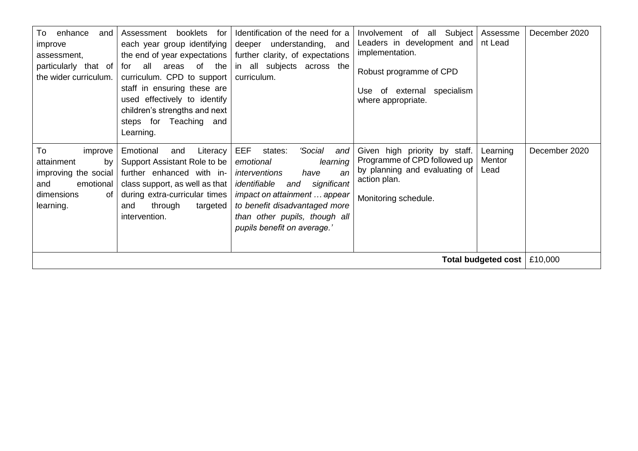| enhance<br>To<br>and<br>improve<br>assessment,<br>particularly that of<br>the wider curriculum.                | booklets for<br>Assessment<br>each year group identifying<br>the end of year expectations<br>all<br>areas of the<br>for<br>curriculum. CPD to support<br>staff in ensuring these are<br>used effectively to identify<br>children's strengths and next<br>steps for Teaching and<br>Learning. | Identification of the need for a<br>deeper understanding, and<br>further clarity, of expectations<br>in all subjects across the<br>curriculum.                                                                                                                         | Involvement of all Subject<br>Leaders in development and<br>implementation.<br>Robust programme of CPD<br>specialism<br>Use of external<br>where appropriate. | Assessme<br>nt Lead        | December 2020            |  |  |
|----------------------------------------------------------------------------------------------------------------|----------------------------------------------------------------------------------------------------------------------------------------------------------------------------------------------------------------------------------------------------------------------------------------------|------------------------------------------------------------------------------------------------------------------------------------------------------------------------------------------------------------------------------------------------------------------------|---------------------------------------------------------------------------------------------------------------------------------------------------------------|----------------------------|--------------------------|--|--|
| To<br>improve<br>by<br>attainment<br>improving the social<br>emotional<br>and<br>dimensions<br>0f<br>learning. | Emotional<br>Literacy<br>and<br>Support Assistant Role to be<br>further enhanced with in-<br>class support, as well as that<br>during extra-curricular times<br>through<br>targeted<br>and<br>intervention.                                                                                  | <b>EEF</b><br>'Social<br>states:<br>and<br>emotional<br>learning<br>interventions<br>an<br>have<br>significant<br>identifiable<br>and<br>impact on attainment  appear<br>to benefit disadvantaged more<br>than other pupils, though all<br>pupils benefit on average.' | Given high priority by staff.<br>Programme of CPD followed up<br>by planning and evaluating of<br>action plan.<br>Monitoring schedule.                        | Learning<br>Mentor<br>Lead | December 2020<br>£10,000 |  |  |
| Total budgeted cost                                                                                            |                                                                                                                                                                                                                                                                                              |                                                                                                                                                                                                                                                                        |                                                                                                                                                               |                            |                          |  |  |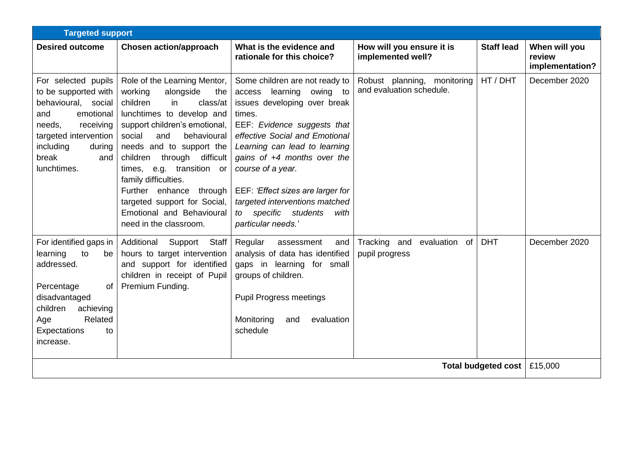|                                                                                                                                                                                              | <b>Targeted support</b>                                                                                                                                                                                                                                                                                                                                                                                                  |                                                                                                                                                                                                                                                                                                                                                                                                    |                                                         |                     |                                            |  |  |
|----------------------------------------------------------------------------------------------------------------------------------------------------------------------------------------------|--------------------------------------------------------------------------------------------------------------------------------------------------------------------------------------------------------------------------------------------------------------------------------------------------------------------------------------------------------------------------------------------------------------------------|----------------------------------------------------------------------------------------------------------------------------------------------------------------------------------------------------------------------------------------------------------------------------------------------------------------------------------------------------------------------------------------------------|---------------------------------------------------------|---------------------|--------------------------------------------|--|--|
| <b>Desired outcome</b>                                                                                                                                                                       | <b>Chosen action/approach</b>                                                                                                                                                                                                                                                                                                                                                                                            | What is the evidence and<br>rationale for this choice?                                                                                                                                                                                                                                                                                                                                             | How will you ensure it is<br>implemented well?          | <b>Staff lead</b>   | When will you<br>review<br>implementation? |  |  |
| For selected pupils<br>to be supported with<br>behavioural, social<br>emotional<br>and<br>needs,<br>receiving<br>targeted intervention<br>including<br>during<br>break<br>and<br>lunchtimes. | Role of the Learning Mentor,<br>working<br>alongside<br>the<br>children<br>in<br>class/at<br>lunchtimes to develop and<br>support children's emotional,<br>social<br>and<br>behavioural<br>needs and to support the<br>children through difficult<br>times, e.g. transition or<br>family difficulties.<br>Further enhance through<br>targeted support for Social,<br>Emotional and Behavioural<br>need in the classroom. | Some children are not ready to<br>learning<br>owing to<br>access<br>issues developing over break<br>times.<br>EEF: Evidence suggests that<br>effective Social and Emotional<br>Learning can lead to learning<br>gains of $+4$ months over the<br>course of a year.<br>EEF: 'Effect sizes are larger for<br>targeted interventions matched<br>specific students<br>to<br>with<br>particular needs.' | Robust planning, monitoring<br>and evaluation schedule. | HT / DHT            | December 2020                              |  |  |
| For identified gaps in<br>learning<br>to<br>be<br>addressed.<br>of<br>Percentage<br>disadvantaged<br>children<br>achieving<br>Related<br>Age<br>Expectations<br>to<br>increase.              | Additional<br>Support<br>Staff<br>hours to target intervention<br>and support for identified<br>children in receipt of Pupil<br>Premium Funding.                                                                                                                                                                                                                                                                         | Regular<br>assessment<br>and<br>analysis of data has identified<br>gaps in learning for small<br>groups of children.<br><b>Pupil Progress meetings</b><br>Monitoring<br>evaluation<br>and<br>schedule                                                                                                                                                                                              | Tracking and<br>evaluation<br>of<br>pupil progress      | <b>DHT</b>          | December 2020                              |  |  |
|                                                                                                                                                                                              |                                                                                                                                                                                                                                                                                                                                                                                                                          |                                                                                                                                                                                                                                                                                                                                                                                                    |                                                         | Total budgeted cost | £15,000                                    |  |  |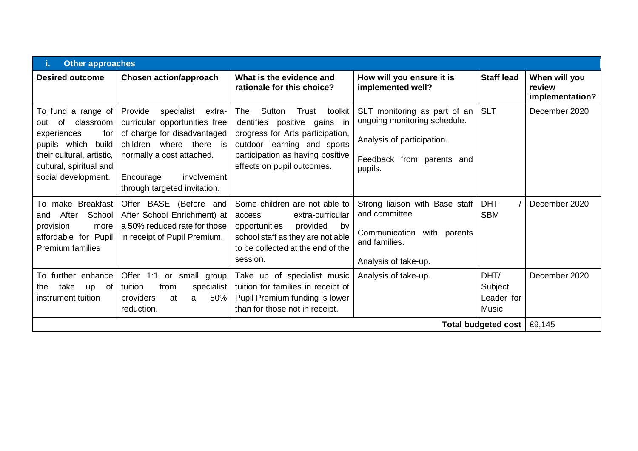| <b>Other approaches</b>                                                                                                                                                    |                                                                                                                                                                                                                     |                                                                                                                                                                                                             |                                                                                                                                    |                                               |                                            |  |  |
|----------------------------------------------------------------------------------------------------------------------------------------------------------------------------|---------------------------------------------------------------------------------------------------------------------------------------------------------------------------------------------------------------------|-------------------------------------------------------------------------------------------------------------------------------------------------------------------------------------------------------------|------------------------------------------------------------------------------------------------------------------------------------|-----------------------------------------------|--------------------------------------------|--|--|
| <b>Desired outcome</b>                                                                                                                                                     | <b>Chosen action/approach</b>                                                                                                                                                                                       | What is the evidence and<br>rationale for this choice?                                                                                                                                                      | How will you ensure it is<br>implemented well?                                                                                     | <b>Staff lead</b>                             | When will you<br>review<br>implementation? |  |  |
| To fund a range of<br>classroom<br>of<br>out<br>experiences<br>for<br>pupils which<br>build<br>their cultural, artistic,<br>cultural, spiritual and<br>social development. | Provide<br>specialist<br>extra-<br>curricular opportunities free<br>of charge for disadvantaged<br>children where there is<br>normally a cost attached.<br>involvement<br>Encourage<br>through targeted invitation. | Sutton<br>The<br>Trust<br>toolkit<br>identifies positive gains<br>- in<br>progress for Arts participation,<br>outdoor learning and sports<br>participation as having positive<br>effects on pupil outcomes. | SLT monitoring as part of an<br>ongoing monitoring schedule.<br>Analysis of participation.<br>Feedback from parents and<br>pupils. | <b>SLT</b>                                    | December 2020                              |  |  |
| To make Breakfast<br>After<br>School<br>and<br>provision<br>more<br>affordable for Pupil<br><b>Premium families</b>                                                        | Offer BASE<br>(Before and<br>After School Enrichment) at<br>a 50% reduced rate for those<br>in receipt of Pupil Premium.                                                                                            | Some children are not able to<br>extra-curricular<br>access<br>opportunities<br>provided<br>by<br>school staff as they are not able<br>to be collected at the end of the<br>session.                        | Strong liaison with Base staff<br>and committee<br>with parents<br>Communication<br>and families.<br>Analysis of take-up.          | <b>DHT</b><br><b>SBM</b>                      | December 2020                              |  |  |
| To further enhance<br>take<br>of<br>the<br><b>up</b><br>instrument tuition                                                                                                 | Offer 1:1<br>or small<br>group<br>tuition<br>from<br>specialist<br>50%<br>providers<br>at<br>a<br>reduction.                                                                                                        | Take up of specialist music<br>tuition for families in receipt of<br>Pupil Premium funding is lower<br>than for those not in receipt.                                                                       | Analysis of take-up.                                                                                                               | DHT/<br>Subject<br>Leader for<br><b>Music</b> | December 2020                              |  |  |
| Total budgeted cost   £9,145                                                                                                                                               |                                                                                                                                                                                                                     |                                                                                                                                                                                                             |                                                                                                                                    |                                               |                                            |  |  |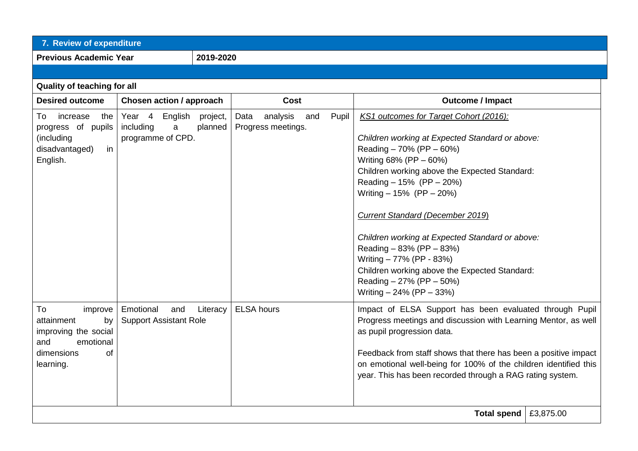| 7. Review of expenditure                                                                                       |                                                                     |                     |                                               |       |                                                                                                                                                                                                                                                                                                                                                                                                                                                                                                                                            |  |
|----------------------------------------------------------------------------------------------------------------|---------------------------------------------------------------------|---------------------|-----------------------------------------------|-------|--------------------------------------------------------------------------------------------------------------------------------------------------------------------------------------------------------------------------------------------------------------------------------------------------------------------------------------------------------------------------------------------------------------------------------------------------------------------------------------------------------------------------------------------|--|
| <b>Previous Academic Year</b>                                                                                  |                                                                     | 2019-2020           |                                               |       |                                                                                                                                                                                                                                                                                                                                                                                                                                                                                                                                            |  |
|                                                                                                                |                                                                     |                     |                                               |       |                                                                                                                                                                                                                                                                                                                                                                                                                                                                                                                                            |  |
| Quality of teaching for all                                                                                    |                                                                     |                     |                                               |       |                                                                                                                                                                                                                                                                                                                                                                                                                                                                                                                                            |  |
| <b>Desired outcome</b><br><b>Chosen action / approach</b>                                                      |                                                                     |                     | <b>Cost</b>                                   |       | <b>Outcome / Impact</b>                                                                                                                                                                                                                                                                                                                                                                                                                                                                                                                    |  |
| To<br>increase<br>the<br>progress of pupils<br>(including<br>disadvantaged)<br>in<br>English.                  | Year <sub>4</sub><br>English<br>including<br>a<br>programme of CPD. | project,<br>planned | analysis<br>Data<br>and<br>Progress meetings. | Pupil | KS1 outcomes for Target Cohort (2016):<br>Children working at Expected Standard or above:<br>Reading $-70\%$ (PP $-60\%$ )<br>Writing 68% (PP - 60%)<br>Children working above the Expected Standard:<br>Reading $-15%$ (PP $-20%$ )<br>Writing $-15%$ (PP $-20%$ )<br><b>Current Standard (December 2019)</b><br>Children working at Expected Standard or above:<br>Reading $-83%$ (PP $-83%$ )<br>Writing - 77% (PP - 83%)<br>Children working above the Expected Standard:<br>Reading - 27% (PP - 50%)<br>Writing $-24\%$ (PP $-33\%$ ) |  |
| To<br>improve<br>attainment<br>by<br>improving the social<br>and<br>emotional<br>dimensions<br>0f<br>learning. | Emotional<br>and<br><b>Support Assistant Role</b>                   | Literacy            | <b>ELSA</b> hours                             |       | Impact of ELSA Support has been evaluated through Pupil<br>Progress meetings and discussion with Learning Mentor, as well<br>as pupil progression data.<br>Feedback from staff shows that there has been a positive impact<br>on emotional well-being for 100% of the children identified this<br>year. This has been recorded through a RAG rating system.                                                                                                                                                                                |  |
| £3,875.00<br>Total spend                                                                                       |                                                                     |                     |                                               |       |                                                                                                                                                                                                                                                                                                                                                                                                                                                                                                                                            |  |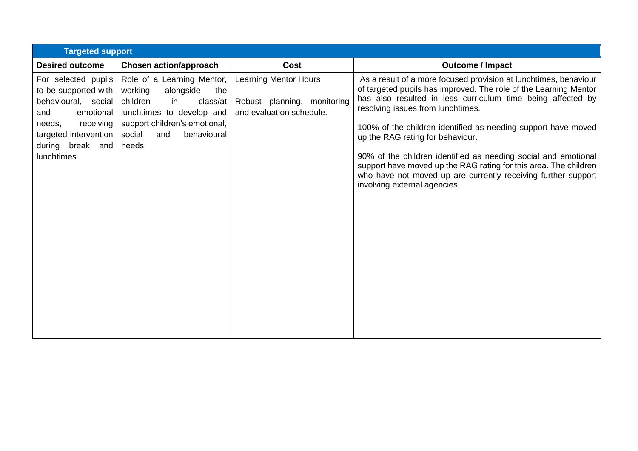|                                                                                                                                                                                 | <b>Targeted support</b>                                                                                                                                                                         |                                                                                         |                                                                                                                                                                                                                                                                                                                                                                                                                                                                                                                                                                                      |  |  |  |  |  |  |
|---------------------------------------------------------------------------------------------------------------------------------------------------------------------------------|-------------------------------------------------------------------------------------------------------------------------------------------------------------------------------------------------|-----------------------------------------------------------------------------------------|--------------------------------------------------------------------------------------------------------------------------------------------------------------------------------------------------------------------------------------------------------------------------------------------------------------------------------------------------------------------------------------------------------------------------------------------------------------------------------------------------------------------------------------------------------------------------------------|--|--|--|--|--|--|
| <b>Desired outcome</b>                                                                                                                                                          | <b>Chosen action/approach</b>                                                                                                                                                                   | <b>Cost</b>                                                                             | <b>Outcome / Impact</b>                                                                                                                                                                                                                                                                                                                                                                                                                                                                                                                                                              |  |  |  |  |  |  |
| For selected pupils<br>to be supported with<br>behavioural, social<br>emotional<br>and<br>receiving<br>needs,<br>targeted intervention<br>during break and<br><b>lunchtimes</b> | Role of a Learning Mentor,<br>working<br>alongside<br>the<br>children<br>in<br>class/at<br>lunchtimes to develop and<br>support children's emotional,<br>social<br>behavioural<br>and<br>needs. | <b>Learning Mentor Hours</b><br>Robust planning, monitoring<br>and evaluation schedule. | As a result of a more focused provision at lunchtimes, behaviour<br>of targeted pupils has improved. The role of the Learning Mentor<br>has also resulted in less curriculum time being affected by<br>resolving issues from lunchtimes.<br>100% of the children identified as needing support have moved<br>up the RAG rating for behaviour.<br>90% of the children identified as needing social and emotional<br>support have moved up the RAG rating for this area. The children<br>who have not moved up are currently receiving further support<br>involving external agencies. |  |  |  |  |  |  |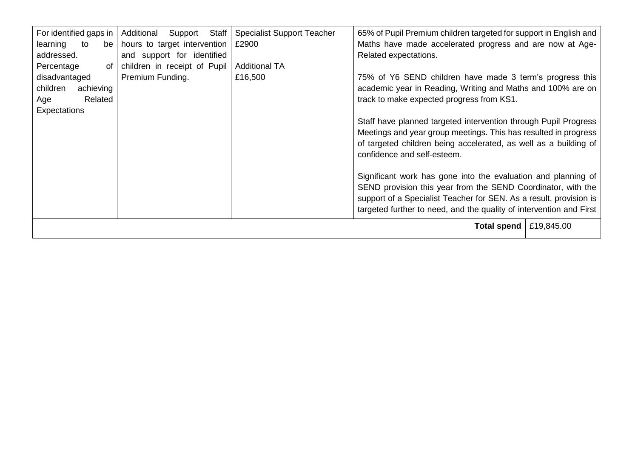| For identified gaps in  <br>learning<br>to<br>be <sub>1</sub><br>addressed.<br>Percentage<br>of | Additional<br>Support<br>Staff<br>hours to target intervention<br>and support for identified<br>children in receipt of Pupil | <b>Specialist Support Teacher</b><br>£2900<br><b>Additional TA</b> | 65% of Pupil Premium children targeted for support in English and<br>Maths have made accelerated progress and are now at Age-<br>Related expectations.                                                                                                                                                                                                                                                                                                                         |  |  |  |
|-------------------------------------------------------------------------------------------------|------------------------------------------------------------------------------------------------------------------------------|--------------------------------------------------------------------|--------------------------------------------------------------------------------------------------------------------------------------------------------------------------------------------------------------------------------------------------------------------------------------------------------------------------------------------------------------------------------------------------------------------------------------------------------------------------------|--|--|--|
| disadvantaged<br>children<br>achieving<br>Related<br>Age<br>Expectations                        | Premium Funding.                                                                                                             | £16,500                                                            | 75% of Y6 SEND children have made 3 term's progress this<br>academic year in Reading, Writing and Maths and 100% are on<br>track to make expected progress from KS1.<br>Staff have planned targeted intervention through Pupil Progress<br>Meetings and year group meetings. This has resulted in progress<br>of targeted children being accelerated, as well as a building of<br>confidence and self-esteem.<br>Significant work has gone into the evaluation and planning of |  |  |  |
|                                                                                                 |                                                                                                                              |                                                                    | SEND provision this year from the SEND Coordinator, with the<br>support of a Specialist Teacher for SEN. As a result, provision is<br>targeted further to need, and the quality of intervention and First                                                                                                                                                                                                                                                                      |  |  |  |
| Total spend  <br>£19,845.00                                                                     |                                                                                                                              |                                                                    |                                                                                                                                                                                                                                                                                                                                                                                                                                                                                |  |  |  |